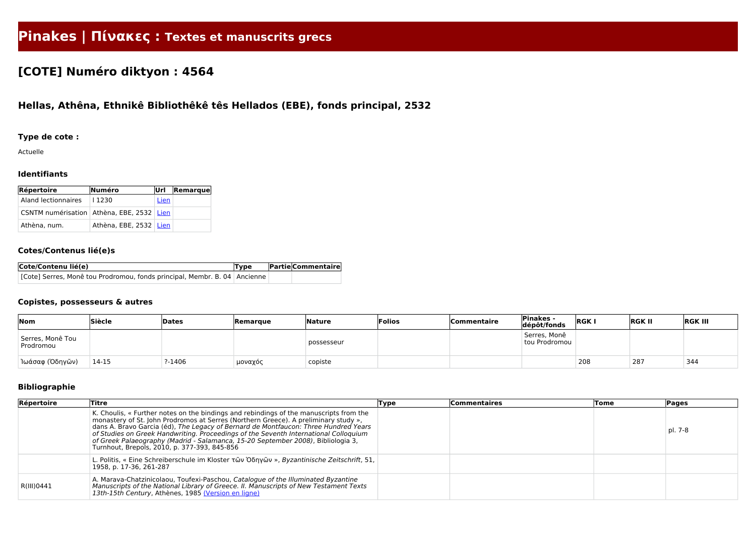# **Pinakes | Πίνακες : Textes et manuscrits grecs**

## **[COTE] Numéro diktyon : 4564**

### **Hellas, Athêna, Ethnikê Bibliothêkê tês Hellados (EBE), fonds principal, 2532**

#### **Type de cote :**

Actuelle

#### **Identifiants**

| Répertoire                                    | Numéro                 | Url  | $\vert$ Remarque $\vert$ |
|-----------------------------------------------|------------------------|------|--------------------------|
| Aland lectionnaires                           | 1230                   | Lien |                          |
| CSNTM numérisation   Athèna, EBE, 2532   Lien |                        |      |                          |
| Athèna, num.                                  | Athèna, EBE, 2532 Lien |      |                          |

#### **Cotes/Contenus lié(e)s**

| Cote/Contenu lié(e)                                                         | Type | <b>Partie Commentaire</b> |
|-----------------------------------------------------------------------------|------|---------------------------|
| [Cote] Serres, Monê tou Prodromou, fonds principal, Membr. B. 04   Ancienne |      |                           |

#### **Copistes, possesseurs & autres**

| Nom                           | Siècle | Dates   | <b>Remarque</b> | Nature     | Folios | <b>Commentaire</b> | <b>Pinakes -</b><br>dépôt/fonds | <b>RGK</b> | <b>RGK II</b> | <b>RGK III</b> |
|-------------------------------|--------|---------|-----------------|------------|--------|--------------------|---------------------------------|------------|---------------|----------------|
| Serres, Monê Tou<br>Prodromou |        |         |                 | possesseur |        |                    | Serres, Monê<br>tou Prodromou   |            |               |                |
| Ίωάσαφ (Όδηγῶν)               | 14-15  | $-1406$ | μοναχός         | copiste    |        |                    |                                 | 208        | 287           | 344            |

#### **Bibliographie**

| Répertoire | <b>Titre</b>                                                                                                                                                                                                                                                                                                                                                                                                                                                                                     | Type | <b>Commentaires</b> | Tome | <b>Pages</b> |
|------------|--------------------------------------------------------------------------------------------------------------------------------------------------------------------------------------------------------------------------------------------------------------------------------------------------------------------------------------------------------------------------------------------------------------------------------------------------------------------------------------------------|------|---------------------|------|--------------|
|            | K. Choulis, « Further notes on the bindings and rebindings of the manuscripts from the<br>monastery of St. John Prodromos at Serres (Northern Greece). A preliminary study »,<br>dans A. Bravo Garcia (éd), The Legacy of Bernard de Montfaucon: Three Hundred Years<br>of Studies on Greek Handwriting. Proceedings of the Seventh International Colloquium<br>of Greek Palaeography (Madrid - Salamanca, 15-20 September 2008), Bibliologia 3,<br>Turnhout, Brepols, 2010, p. 377-393, 845-856 |      |                     |      | pl. 7-8      |
|            | L. Politis, « Eine Schreiberschule im Kloster τῶν Ὀδηγῶν », Byzantinische Zeitschrift, 51,<br>1958, p. 17-36, 261-287                                                                                                                                                                                                                                                                                                                                                                            |      |                     |      |              |
| R(III)0441 | A. Marava-Chatzinicolaou, Toufexi-Paschou, Catalogue of the Illuminated Byzantine<br>Manuscripts of the National Library of Greece. II. Manuscripts of New Testament Texts<br>13th-15th Century, Athènes, 1985 (Version en ligne)                                                                                                                                                                                                                                                                |      |                     |      |              |